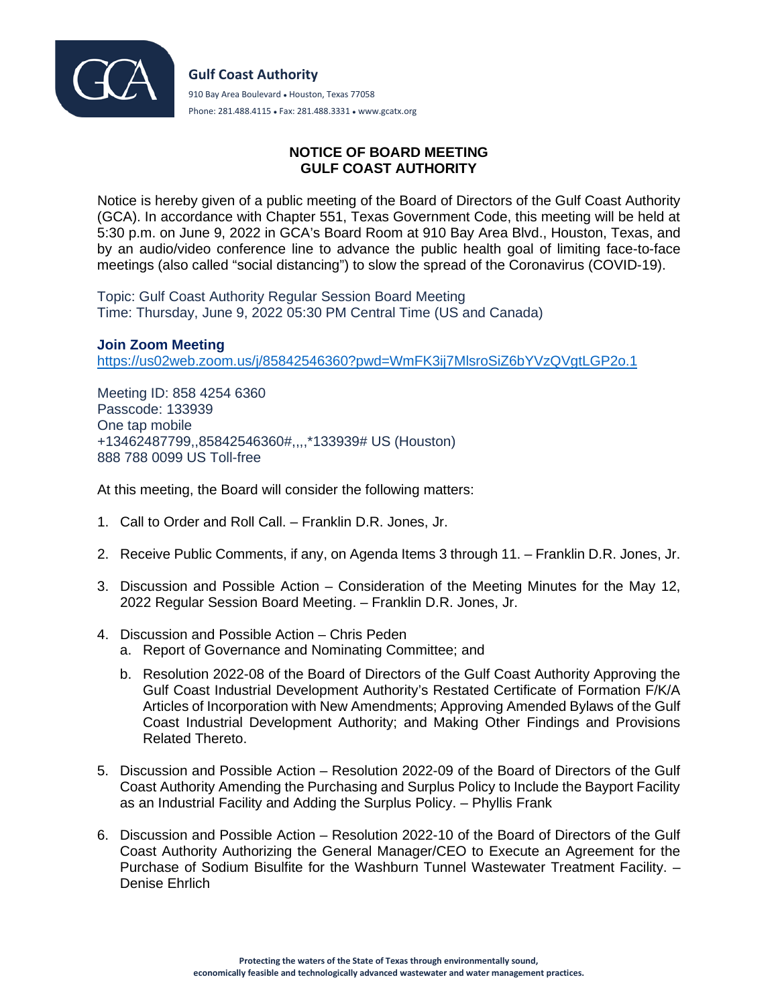

## **NOTICE OF BOARD MEETING GULF COAST AUTHORITY**

Notice is hereby given of a public meeting of the Board of Directors of the Gulf Coast Authority (GCA). In accordance with Chapter 551, Texas Government Code, this meeting will be held at 5:30 p.m. on June 9, 2022 in GCA's Board Room at 910 Bay Area Blvd., Houston, Texas, and by an audio/video conference line to advance the public health goal of limiting face-to-face meetings (also called "social distancing") to slow the spread of the Coronavirus (COVID-19).

Topic: Gulf Coast Authority Regular Session Board Meeting Time: Thursday, June 9, 2022 05:30 PM Central Time (US and Canada)

## **Join Zoom Meeting**

<https://us02web.zoom.us/j/85842546360?pwd=WmFK3ij7MlsroSiZ6bYVzQVgtLGP2o.1>

Meeting ID: 858 4254 6360 Passcode: 133939 One tap mobile +13462487799,,85842546360#,,,,\*133939# US (Houston) 888 788 0099 US Toll-free

At this meeting, the Board will consider the following matters:

- 1. Call to Order and Roll Call. Franklin D.R. Jones, Jr.
- 2. Receive Public Comments, if any, on Agenda Items 3 through 11. Franklin D.R. Jones, Jr.
- 3. Discussion and Possible Action Consideration of the Meeting Minutes for the May 12, 2022 Regular Session Board Meeting. – Franklin D.R. Jones, Jr.
- 4. Discussion and Possible Action Chris Peden
	- a. Report of Governance and Nominating Committee; and
	- b. Resolution 2022-08 of the Board of Directors of the Gulf Coast Authority Approving the Gulf Coast Industrial Development Authority's Restated Certificate of Formation F/K/A Articles of Incorporation with New Amendments; Approving Amended Bylaws of the Gulf Coast Industrial Development Authority; and Making Other Findings and Provisions Related Thereto.
- 5. Discussion and Possible Action Resolution 2022-09 of the Board of Directors of the Gulf Coast Authority Amending the Purchasing and Surplus Policy to Include the Bayport Facility as an Industrial Facility and Adding the Surplus Policy. – Phyllis Frank
- 6. Discussion and Possible Action Resolution 2022-10 of the Board of Directors of the Gulf Coast Authority Authorizing the General Manager/CEO to Execute an Agreement for the Purchase of Sodium Bisulfite for the Washburn Tunnel Wastewater Treatment Facility. – Denise Ehrlich